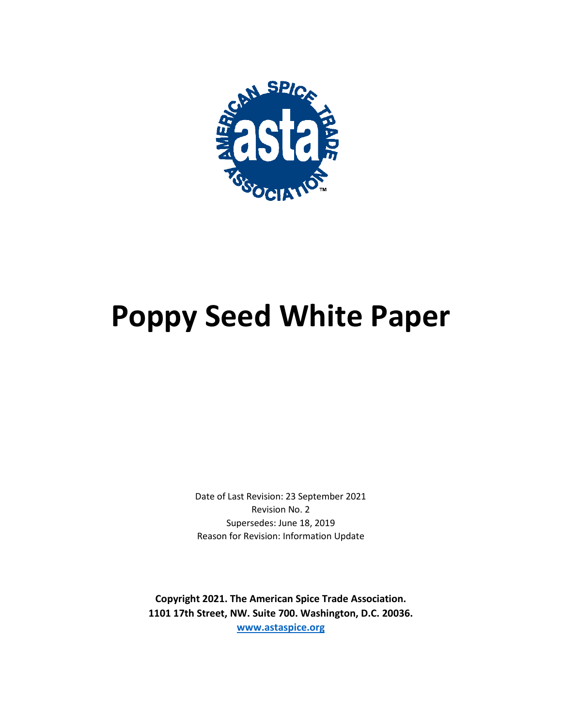

# **Poppy Seed White Paper**

Date of Last Revision: 23 September 2021 Revision No. 2 Supersedes: June 18, 2019 Reason for Revision: Information Update

**Copyright 2021. The American Spice Trade Association. 1101 17th Street, NW. Suite 700. Washington, D.C. 20036. [www.astaspice.org](http://www.astaspice.org/)**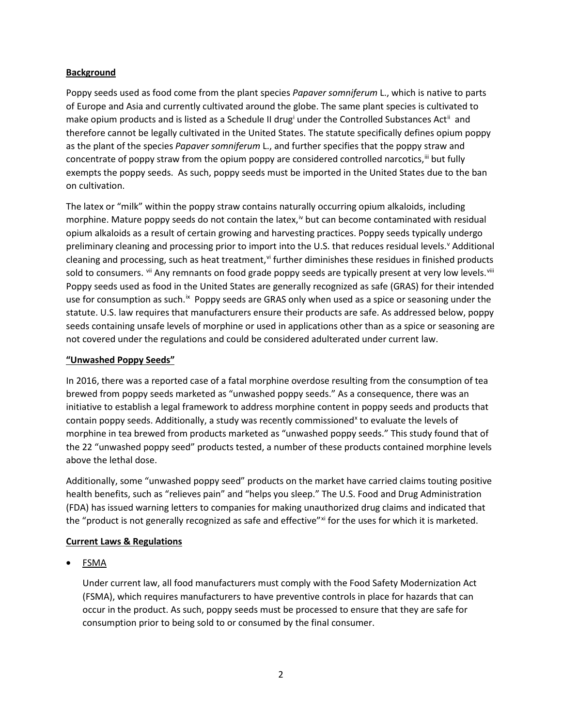## **Background**

Poppy seeds used as food come from the plant species *Papaver somniferum* L., which is native to parts of Europe and Asia and currently cultivated around the globe. The same plant species is cultivated to make op[i](#page-3-0)um products and is listed as a Schedule II drug<sup>i</sup> under the Controlled Substances Act<sup>[ii](#page-3-1)</sup> and therefore cannot be legally cultivated in the United States. The statute specifically defines opium poppy as the plant of the species *Papaver somniferum* L., and further specifies that the poppy straw and concentrate of poppy straw from the opium poppy are considered controlled narcotics,  $\ddot{ }$  but fully exempts the poppy seeds. As such, poppy seeds must be imported in the United States due to the ban on cultivation.

The latex or "milk" within the poppy straw contains naturally occurring opium alkaloids, including morphine. Mature poppy seeds do not contain the latex,<sup>[iv](#page-3-3)</sup> but can become contaminated with residual opium alkaloids as a result of certain growing and harvesting practices. Poppy seeds typically undergo preliminary cleaning and processing prior to import into the U.S. that reduces residual le[v](#page-3-4)els.<sup>v</sup> Additional cleaning and processing, such as heat treatment, $\vec{v}$  further diminishes these residues in finished products sold to consumers. <sup>[vii](#page-3-6)</sup> Any remnants on food grade poppy seeds are typically present at very low levels. <sup>[viii](#page-3-7)</sup> Poppy seeds used as food in the United States are generally recognized as safe (GRAS) for their intended use for consumption as such.<sup>[ix](#page-3-8)</sup> Poppy seeds are GRAS only when used as a spice or seasoning under the statute. U.S. law requires that manufacturers ensure their products are safe. As addressed below, poppy seeds containing unsafe levels of morphine or used in applications other than as a spice or seasoning are not covered under the regulations and could be considered adulterated under current law.

# **"Unwashed Poppy Seeds"**

In 2016, there was a reported case of a fatal morphine overdose resulting from the consumption of tea brewed from poppy seeds marketed as "unwashed poppy seeds." As a consequence, there was an initiative to establish a legal framework to address morphine content in poppy seeds and products that contain poppy seeds. Additionally, a study was recently commissioned<sup>[x](#page-4-0)</sup> to evaluate the levels of morphine in tea brewed from products marketed as "unwashed poppy seeds." This study found that of the 22 "unwashed poppy seed" products tested, a number of these products contained morphine levels above the lethal dose.

Additionally, some "unwashed poppy seed" products on the market have carried claims touting positive health benefits, such as "relieves pain" and "helps you sleep." The U.S. Food and Drug Administration (FDA) has issued warning letters to companies for making unauthorized drug claims and indicated that the "product is not generally recognized as safe and effective"[xi](#page-4-1) for the uses for which it is marketed.

## **Current Laws & Regulations**

• FSMA

Under current law, all food manufacturers must comply with the Food Safety Modernization Act (FSMA), which requires manufacturers to have preventive controls in place for hazards that can occur in the product. As such, poppy seeds must be processed to ensure that they are safe for consumption prior to being sold to or consumed by the final consumer.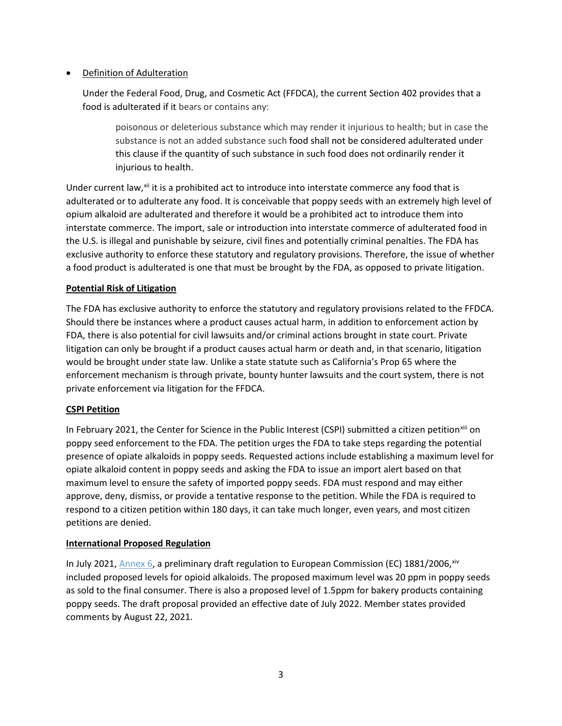# • Definition of Adulteration

Under the Federal Food, Drug, and Cosmetic Act (FFDCA), the current Section 402 provides that a food is adulterated if it bears or contains any:

poisonous or deleterious substance which may render it injurious to health; but in case the substance is not an added substance such [food](https://www.law.cornell.edu/uscode/text/21/342) shall not be considered adulterated under this clause if the quantity of such substance in such [food](https://www.law.cornell.edu/uscode/text/21/342) does not ordinarily render it injurious to health.

Under current law,<sup>[xii](#page-4-2)</sup> it is a prohibited act to introduce into interstate commerce any food that is adulterated or to adulterate any food. It is conceivable that poppy seeds with an extremely high level of opium alkaloid are adulterated and therefore it would be a prohibited act to introduce them into interstate commerce. The import, sale or introduction into interstate commerce of adulterated food in the U.S. is illegal and punishable by seizure, civil fines and potentially criminal penalties. The FDA has exclusive authority to enforce these statutory and regulatory provisions. Therefore, the issue of whether a food product is adulterated is one that must be brought by the FDA, as opposed to private litigation.

## **Potential Risk of Litigation**

The FDA has exclusive authority to enforce the statutory and regulatory provisions related to the FFDCA. Should there be instances where a product causes actual harm, in addition to enforcement action by FDA, there is also potential for civil lawsuits and/or criminal actions brought in state court. Private litigation can only be brought if a product causes actual harm or death and, in that scenario, litigation would be brought under state law. Unlike a state statute such as California's Prop 65 where the enforcement mechanism is through private, bounty hunter lawsuits and the court system, there is not private enforcement via litigation for the FFDCA.

## **CSPI Petition**

In February 2021, the Center for Science in the Public Interest (CSPI) submitted a citizen petition<sup>[xiii](#page-4-3)</sup> on poppy seed enforcement to the FDA. The petition urges the FDA to take steps regarding the potential presence of opiate alkaloids in poppy seeds. Requested actions include establishing a maximum level for opiate alkaloid content in poppy seeds and asking the FDA to issue an import alert based on that maximum level to ensure the safety of imported poppy seeds. FDA must respond and may either approve, deny, dismiss, or provide a tentative response to the petition. While the FDA is required to respond to a citizen petition within 180 days, it can take much longer, even years, and most citizen petitions are denied.

## **International Proposed Regulation**

In July 2021, [Annex 6,](https://astaspice.us17.list-manage.com/track/click?u=8672854ec29821ac7cdd5a91e&id=8a708ee0b0&e=ff6898e5ee) a preliminary draft regulation to European Commission (EC) 1881/2006, [xiv](#page-4-4) included proposed levels for opioid alkaloids. The proposed maximum level was 20 ppm in poppy seeds as sold to the final consumer. There is also a proposed level of 1.5ppm for bakery products containing poppy seeds. The draft proposal provided an effective date of July 2022. Member states provided comments by August 22, 2021.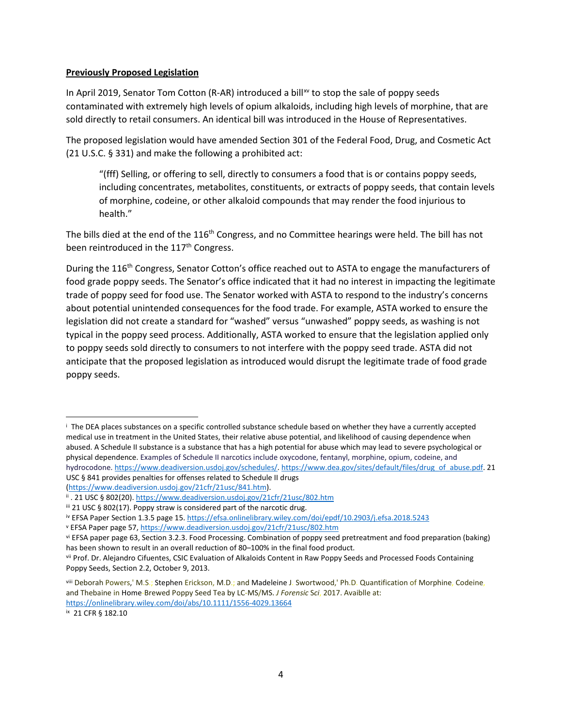#### **Previously Proposed Legislation**

In April 2019, Senator Tom Cotton (R-AR) introduced a bill<sup>[xv](#page-4-5)</sup> to stop the sale of poppy seeds contaminated with extremely high levels of opium alkaloids, including high levels of morphine, that are sold directly to retail consumers. An identical bill was introduced in the House of Representatives.

The proposed legislation would have amended Section 301 of the Federal Food, Drug, and Cosmetic Act (21 U.S.C. § 331) and make the following a prohibited act:

"(fff) Selling, or offering to sell, directly to consumers a food that is or contains poppy seeds, including concentrates, metabolites, constituents, or extracts of poppy seeds, that contain levels of morphine, codeine, or other alkaloid compounds that may render the food injurious to health."

The bills died at the end of the 116<sup>th</sup> Congress, and no Committee hearings were held. The bill has not been reintroduced in the 117<sup>th</sup> Congress.

During the 116<sup>th</sup> Congress, Senator Cotton's office reached out to ASTA to engage the manufacturers of food grade poppy seeds. The Senator's office indicated that it had no interest in impacting the legitimate trade of poppy seed for food use. The Senator worked with ASTA to respond to the industry's concerns about potential unintended consequences for the food trade. For example, ASTA worked to ensure the legislation did not create a standard for "washed" versus "unwashed" poppy seeds, as washing is not typical in the poppy seed process. Additionally, ASTA worked to ensure that the legislation applied only to poppy seeds sold directly to consumers to not interfere with the poppy seed trade. ASTA did not anticipate that the proposed legislation as introduced would disrupt the legitimate trade of food grade poppy seeds.

<span id="page-3-0"></span><sup>i</sup> The DEA places substances on a specific controlled substance schedule based on whether they have a currently accepted medical use in treatment in the United States, their relative abuse potential, and likelihood of causing dependence when abused. A Schedule II substance is a substance that has a high potential for abuse which may lead to severe psychological or physical dependence. Examples of Schedule II narcotics include oxycodone, fentanyl, morphine, opium, codeine, and hydrocodone. [https://www.deadiversion.usdoj.gov/schedules/.](https://www.deadiversion.usdoj.gov/schedules/) [https://www.dea.gov/sites/default/files/drug\\_of\\_abuse.pdf.](https://www.dea.gov/sites/default/files/drug_of_abuse.pdf) 21 USC § 841 provides penalties for offenses related to Schedule II drugs [\(https://www.deadiversion.usdoj.gov/21cfr/21usc/841.htm\)](https://www.deadiversion.usdoj.gov/21cfr/21usc/841.htm).

<span id="page-3-1"></span>ii. 21 USC § 802(20)[. https://www.deadiversion.usdoj.gov/21cfr/21usc/802.htm](https://www.deadiversion.usdoj.gov/21cfr/21usc/802.htm)

<span id="page-3-2"></span>iii 21 USC § 802(17). Poppy straw is considered part of the narcotic drug.

<span id="page-3-3"></span>iv EFSA Paper Section 1.3.5 page 15.<https://efsa.onlinelibrary.wiley.com/doi/epdf/10.2903/j.efsa.2018.5243>

<span id="page-3-4"></span><sup>v</sup> EFSA Paper page 57[, https://www.deadiversion.usdoj.gov/21cfr/21usc/802.htm](https://www.deadiversion.usdoj.gov/21cfr/21usc/802.htm)

<span id="page-3-5"></span>vi EFSA paper page 63, Section 3.2.3. Food Processing. Combination of poppy seed pretreatment and food preparation (baking)

<span id="page-3-6"></span>has been shown to result in an overall reduction of 80–100% in the final food product.<br>vii Prof. Dr. Alejandro Cifuentes, CSIC Evaluation of Alkaloids Content in Raw Poppy Seeds and Processed Foods Containing Poppy Seeds, Section 2.2, October 9, 2013.

<span id="page-3-7"></span>viii Deborah Powers,' M.S.; Stephen Erickson, M.D.; and Madeleine J. Swortwood,' Ph.D. Quantification of Morphine, Codeine, and Thebaine in Home-Brewed Poppy Seed Tea by LC-MS/MS. *J Forensic* S*ci*, 2017. Avaiblle at: <https://onlinelibrary.wiley.com/doi/abs/10.1111/1556-4029.13664>

<span id="page-3-8"></span>ix 21 CFR § 182.10